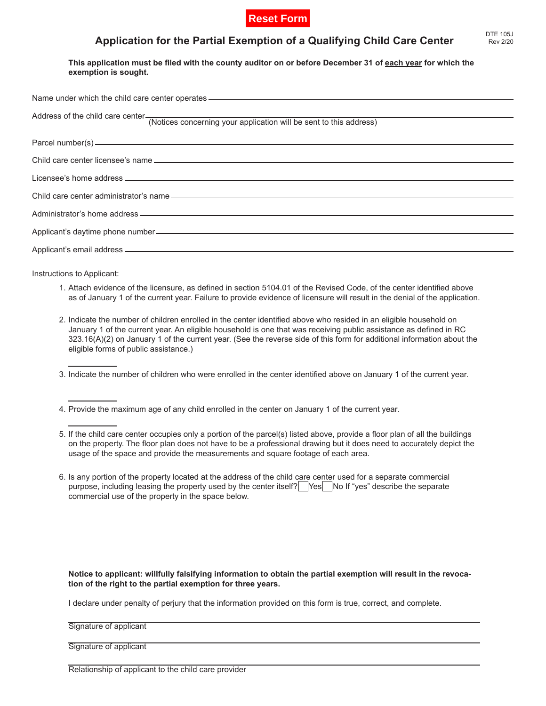

## **Application for the Partial Exemption of a Qualifying Child Care Center**

This application must be filed with the county auditor on or before December 31 of **each year** for which the **exemption is sought.**

| Name under which the child care center operates _________________________________                   |
|-----------------------------------------------------------------------------------------------------|
| Address of the child care center (Notices concerning your application will be sent to this address) |
|                                                                                                     |
|                                                                                                     |
|                                                                                                     |
|                                                                                                     |
|                                                                                                     |
|                                                                                                     |
|                                                                                                     |

Instructions to Applicant:

- Attach evidence of the licensure, as defined in section 5104.01 of the Revised Code, of the center identified above 1. as of January 1 of the current year. Failure to provide evidence of licensure will result in the denial of the application.
- 2. Indicate the number of children enrolled in the center identified above who resided in an eligible household on January 1 of the current year. An eligible household is one that was receiving public assistance as defined in RC 323.16(A)(2) on January 1 of the current year. (See the reverse side of this form for additional information about the eligible forms of public assistance.)
- 3. Indicate the number of children who were enrolled in the center identified above on January 1 of the current year.
- 4. Provide the maximum age of any child enrolled in the center on January 1 of the current year.
- 5. If the child care center occupies only a portion of the parcel(s) listed above, provide a floor plan of all the buildings on the property. The floor plan does not have to be a professional drawing but it does need to accurately depict the usage of the space and provide the measurements and square footage of each area.
- 6. Is any portion of the property located at the address of the child care center used for a separate commercial purpose, including leasing the property used by the center itself?  $\left| \n\right|$   $\left| \n\right|$   $\left| \n\right|$  of "yes" describe the separate commercial use of the property in the space below.

## **Notice to applicant: willfully falsifying information to obtain the partial exemption will result in the revocation of the right to the partial exemption for three years.**

I declare under penalty of perjury that the information provided on this form is true, correct, and complete.

## Signature of applicant

Signature of applicant

Relationship of applicant to the child care provider